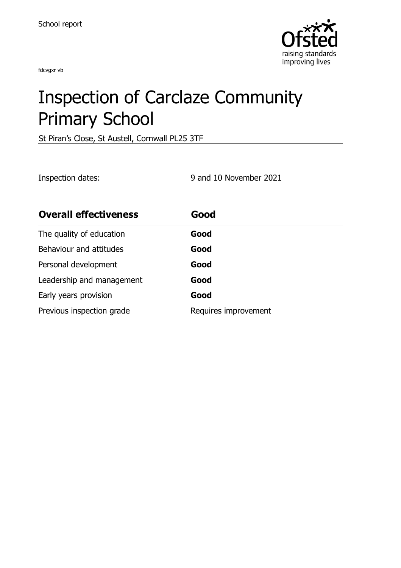fdcvgxr vb



# Inspection of Carclaze Community Primary School

St Piran's Close, St Austell, Cornwall PL25 3TF

Inspection dates: 9 and 10 November 2021

| <b>Overall effectiveness</b> | Good                 |
|------------------------------|----------------------|
| The quality of education     | Good                 |
| Behaviour and attitudes      | Good                 |
| Personal development         | Good                 |
| Leadership and management    | Good                 |
| Early years provision        | Good                 |
| Previous inspection grade    | Requires improvement |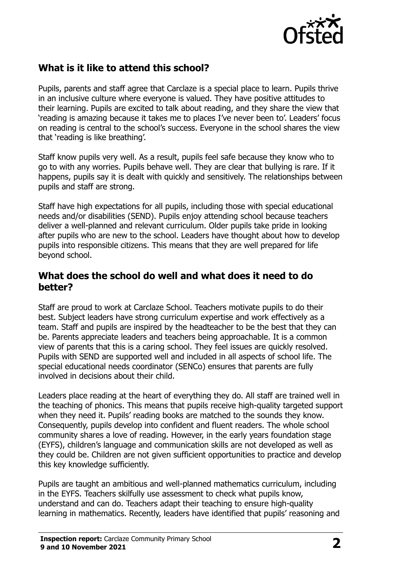

## **What is it like to attend this school?**

Pupils, parents and staff agree that Carclaze is a special place to learn. Pupils thrive in an inclusive culture where everyone is valued. They have positive attitudes to their learning. Pupils are excited to talk about reading, and they share the view that 'reading is amazing because it takes me to places I've never been to'. Leaders' focus on reading is central to the school's success. Everyone in the school shares the view that 'reading is like breathing'.

Staff know pupils very well. As a result, pupils feel safe because they know who to go to with any worries. Pupils behave well. They are clear that bullying is rare. If it happens, pupils say it is dealt with quickly and sensitively. The relationships between pupils and staff are strong.

Staff have high expectations for all pupils, including those with special educational needs and/or disabilities (SEND). Pupils enjoy attending school because teachers deliver a well-planned and relevant curriculum. Older pupils take pride in looking after pupils who are new to the school. Leaders have thought about how to develop pupils into responsible citizens. This means that they are well prepared for life beyond school.

#### **What does the school do well and what does it need to do better?**

Staff are proud to work at Carclaze School. Teachers motivate pupils to do their best. Subject leaders have strong curriculum expertise and work effectively as a team. Staff and pupils are inspired by the headteacher to be the best that they can be. Parents appreciate leaders and teachers being approachable. It is a common view of parents that this is a caring school. They feel issues are quickly resolved. Pupils with SEND are supported well and included in all aspects of school life. The special educational needs coordinator (SENCo) ensures that parents are fully involved in decisions about their child.

Leaders place reading at the heart of everything they do. All staff are trained well in the teaching of phonics. This means that pupils receive high-quality targeted support when they need it. Pupils' reading books are matched to the sounds they know. Consequently, pupils develop into confident and fluent readers. The whole school community shares a love of reading. However, in the early years foundation stage (EYFS), children's language and communication skills are not developed as well as they could be. Children are not given sufficient opportunities to practice and develop this key knowledge sufficiently.

Pupils are taught an ambitious and well-planned mathematics curriculum, including in the EYFS. Teachers skilfully use assessment to check what pupils know, understand and can do. Teachers adapt their teaching to ensure high-quality learning in mathematics. Recently, leaders have identified that pupils' reasoning and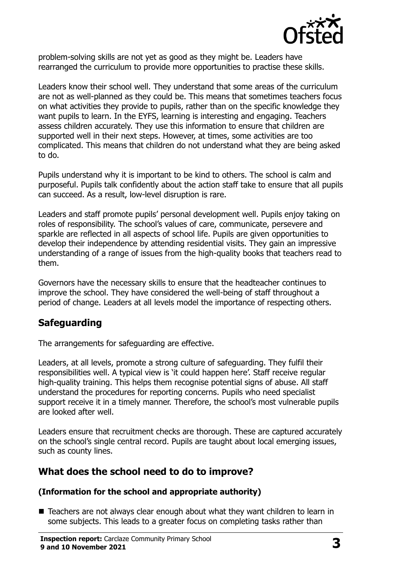

problem-solving skills are not yet as good as they might be. Leaders have rearranged the curriculum to provide more opportunities to practise these skills.

Leaders know their school well. They understand that some areas of the curriculum are not as well-planned as they could be. This means that sometimes teachers focus on what activities they provide to pupils, rather than on the specific knowledge they want pupils to learn. In the EYFS, learning is interesting and engaging. Teachers assess children accurately. They use this information to ensure that children are supported well in their next steps. However, at times, some activities are too complicated. This means that children do not understand what they are being asked to do.

Pupils understand why it is important to be kind to others. The school is calm and purposeful. Pupils talk confidently about the action staff take to ensure that all pupils can succeed. As a result, low-level disruption is rare.

Leaders and staff promote pupils' personal development well. Pupils enjoy taking on roles of responsibility. The school's values of care, communicate, persevere and sparkle are reflected in all aspects of school life. Pupils are given opportunities to develop their independence by attending residential visits. They gain an impressive understanding of a range of issues from the high-quality books that teachers read to them.

Governors have the necessary skills to ensure that the headteacher continues to improve the school. They have considered the well-being of staff throughout a period of change. Leaders at all levels model the importance of respecting others.

## **Safeguarding**

The arrangements for safeguarding are effective.

Leaders, at all levels, promote a strong culture of safeguarding. They fulfil their responsibilities well. A typical view is 'it could happen here'. Staff receive regular high-quality training. This helps them recognise potential signs of abuse. All staff understand the procedures for reporting concerns. Pupils who need specialist support receive it in a timely manner. Therefore, the school's most vulnerable pupils are looked after well.

Leaders ensure that recruitment checks are thorough. These are captured accurately on the school's single central record. Pupils are taught about local emerging issues, such as county lines.

## **What does the school need to do to improve?**

#### **(Information for the school and appropriate authority)**

■ Teachers are not always clear enough about what they want children to learn in some subjects. This leads to a greater focus on completing tasks rather than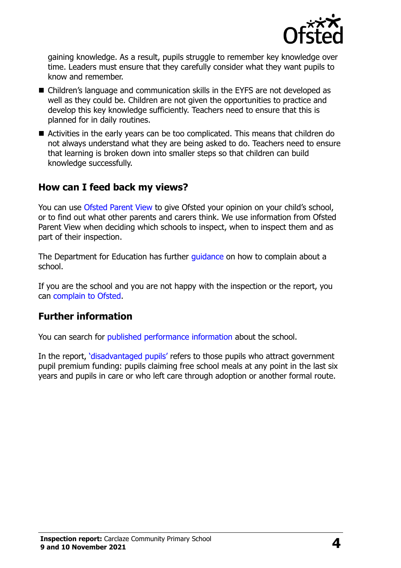

gaining knowledge. As a result, pupils struggle to remember key knowledge over time. Leaders must ensure that they carefully consider what they want pupils to know and remember.

- Children's language and communication skills in the EYFS are not developed as well as they could be. Children are not given the opportunities to practice and develop this key knowledge sufficiently. Teachers need to ensure that this is planned for in daily routines.
- Activities in the early years can be too complicated. This means that children do not always understand what they are being asked to do. Teachers need to ensure that learning is broken down into smaller steps so that children can build knowledge successfully.

#### **How can I feed back my views?**

You can use [Ofsted Parent View](http://parentview.ofsted.gov.uk/) to give Ofsted your opinion on your child's school, or to find out what other parents and carers think. We use information from Ofsted Parent View when deciding which schools to inspect, when to inspect them and as part of their inspection.

The Department for Education has further *quidance* on how to complain about a school.

If you are the school and you are not happy with the inspection or the report, you can [complain to Ofsted.](http://www.gov.uk/complain-ofsted-report)

#### **Further information**

You can search for [published performance information](http://www.compare-school-performance.service.gov.uk/) about the school.

In the report, '[disadvantaged pupils](http://www.gov.uk/guidance/pupil-premium-information-for-schools-and-alternative-provision-settings)' refers to those pupils who attract government pupil premium funding: pupils claiming free school meals at any point in the last six years and pupils in care or who left care through adoption or another formal route.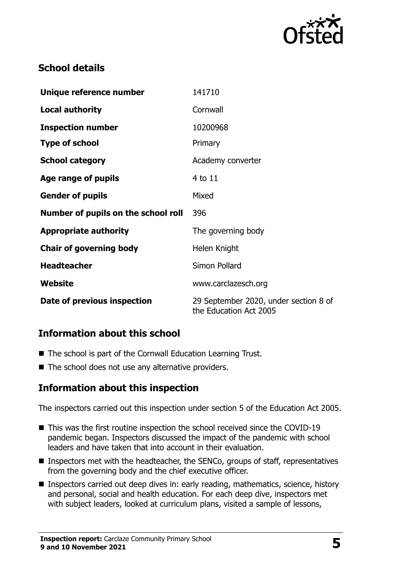

## **School details**

| Unique reference number             | 141710                                                          |
|-------------------------------------|-----------------------------------------------------------------|
| <b>Local authority</b>              | Cornwall                                                        |
| <b>Inspection number</b>            | 10200968                                                        |
| <b>Type of school</b>               | Primary                                                         |
| <b>School category</b>              | Academy converter                                               |
| Age range of pupils                 | 4 to 11                                                         |
| <b>Gender of pupils</b>             | Mixed                                                           |
| Number of pupils on the school roll | 396                                                             |
| <b>Appropriate authority</b>        | The governing body                                              |
| <b>Chair of governing body</b>      | Helen Knight                                                    |
| <b>Headteacher</b>                  | Simon Pollard                                                   |
| Website                             | www.carclazesch.org                                             |
| Date of previous inspection         | 29 September 2020, under section 8 of<br>the Education Act 2005 |

### **Information about this school**

- The school is part of the Cornwall Education Learning Trust.
- The school does not use any alternative providers.

## **Information about this inspection**

The inspectors carried out this inspection under section 5 of the Education Act 2005.

- This was the first routine inspection the school received since the COVID-19 pandemic began. Inspectors discussed the impact of the pandemic with school leaders and have taken that into account in their evaluation.
- **Inspectors met with the headteacher, the SENCo, groups of staff, representatives** from the governing body and the chief executive officer.
- **Inspectors carried out deep dives in: early reading, mathematics, science, history** and personal, social and health education. For each deep dive, inspectors met with subject leaders, looked at curriculum plans, visited a sample of lessons,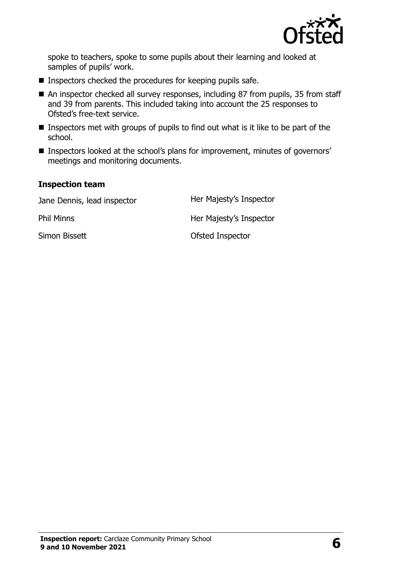

spoke to teachers, spoke to some pupils about their learning and looked at samples of pupils' work.

- $\blacksquare$  Inspectors checked the procedures for keeping pupils safe.
- An inspector checked all survey responses, including 87 from pupils, 35 from staff and 39 from parents. This included taking into account the 25 responses to Ofsted's free-text service.
- Inspectors met with groups of pupils to find out what is it like to be part of the school.
- Inspectors looked at the school's plans for improvement, minutes of governors' meetings and monitoring documents.

#### **Inspection team**

Jane Dennis, lead inspector **Her Majesty's Inspector** Phil Minns **Her Majesty's Inspector** Simon Bissett **Contract Contract Contract Contract Contract Contract Contract Contract Contract Contract Contract Contract Contract Contract Contract Contract Contract Contract Contract Contract Contract Contract Contract**